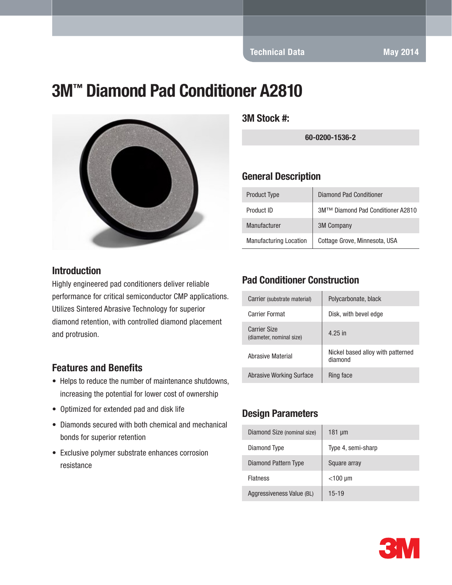# 3M™ Diamond Pad Conditioner A2810



#### **Introduction**

Highly engineered pad conditioners deliver reliable performance for critical semiconductor CMP applications. Utilizes Sintered Abrasive Technology for superior diamond retention, with controlled diamond placement and protrusion.

#### Features and Benefits

- Helps to reduce the number of maintenance shutdowns, increasing the potential for lower cost of ownership
- Optimized for extended pad and disk life
- Diamonds secured with both chemical and mechanical bonds for superior retention
- Exclusive polymer substrate enhances corrosion resistance

3M Stock #:

60-0200-1536-2

#### General Description

| <b>Product Type</b>           | <b>Diamond Pad Conditioner</b>    |
|-------------------------------|-----------------------------------|
| Product ID                    | 3M™ Diamond Pad Conditioner A2810 |
| Manufacturer                  | <b>3M Company</b>                 |
| <b>Manufacturing Location</b> | Cottage Grove, Minnesota, USA     |

#### Pad Conditioner Construction

| Carrier (substrate material)                    | Polycarbonate, black                         |
|-------------------------------------------------|----------------------------------------------|
| Carrier Format                                  | Disk, with bevel edge                        |
| <b>Carrier Size</b><br>(diameter, nominal size) | 4.25 in                                      |
| Abrasive Material                               | Nickel based alloy with patterned<br>diamond |
| Abrasive Working Surface                        | Ring face                                    |

#### Design Parameters

| Diamond Size (nominal size) | $181 \mu m$        |
|-----------------------------|--------------------|
| Diamond Type                | Type 4, semi-sharp |
| Diamond Pattern Type        | Square array       |
| <b>Flatness</b>             | $<$ 100 µm         |
| Aggressiveness Value (BL)   | $15 - 19$          |